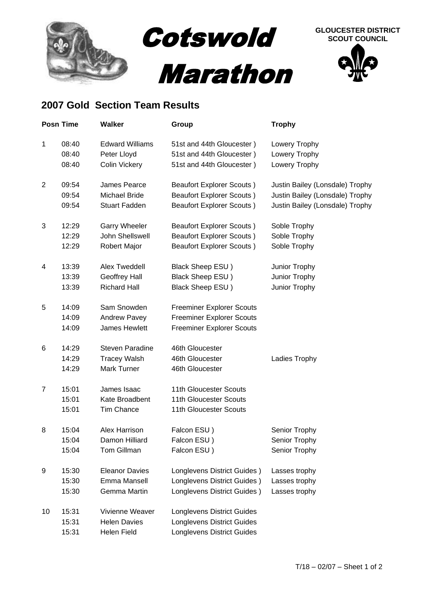

## **SCOUT COUNCIL**

## **2007 Gold Section Team Results**

|                | <b>Posn Time</b> | <b>Walker</b>          | Group                             | <b>Trophy</b>                   |
|----------------|------------------|------------------------|-----------------------------------|---------------------------------|
| $\mathbf{1}$   | 08:40            | <b>Edward Williams</b> | 51st and 44th Gloucester)         | Lowery Trophy                   |
|                | 08:40            | Peter Lloyd            | 51st and 44th Gloucester)         | Lowery Trophy                   |
|                | 08:40            | Colin Vickery          | 51st and 44th Gloucester)         | Lowery Trophy                   |
| $\overline{2}$ | 09:54            | James Pearce           | <b>Beaufort Explorer Scouts)</b>  | Justin Bailey (Lonsdale) Trophy |
|                | 09:54            | <b>Michael Bride</b>   | <b>Beaufort Explorer Scouts)</b>  | Justin Bailey (Lonsdale) Trophy |
|                | 09:54            | <b>Stuart Fadden</b>   | <b>Beaufort Explorer Scouts)</b>  | Justin Bailey (Lonsdale) Trophy |
| 3              | 12:29            | <b>Garry Wheeler</b>   | <b>Beaufort Explorer Scouts)</b>  | Soble Trophy                    |
|                | 12:29            | John Shellswell        | <b>Beaufort Explorer Scouts)</b>  | Soble Trophy                    |
|                | 12:29            | Robert Major           | <b>Beaufort Explorer Scouts)</b>  | Soble Trophy                    |
| 4              | 13:39            | <b>Alex Tweddell</b>   | Black Sheep ESU)                  | Junior Trophy                   |
|                | 13:39            | Geoffrey Hall          | Black Sheep ESU)                  | Junior Trophy                   |
|                | 13:39            | <b>Richard Hall</b>    | Black Sheep ESU)                  | Junior Trophy                   |
| 5              | 14:09            | Sam Snowden            | <b>Freeminer Explorer Scouts</b>  |                                 |
|                | 14:09            | <b>Andrew Pavey</b>    | <b>Freeminer Explorer Scouts</b>  |                                 |
|                | 14:09            | James Hewlett          | <b>Freeminer Explorer Scouts</b>  |                                 |
| 6              | 14:29            | <b>Steven Paradine</b> | 46th Gloucester                   |                                 |
|                | 14:29            | <b>Tracey Walsh</b>    | 46th Gloucester                   | Ladies Trophy                   |
|                | 14:29            | Mark Turner            | 46th Gloucester                   |                                 |
| $\overline{7}$ | 15:01            | James Isaac            | 11th Gloucester Scouts            |                                 |
|                | 15:01            | Kate Broadbent         | 11th Gloucester Scouts            |                                 |
|                | 15:01            | <b>Tim Chance</b>      | 11th Gloucester Scouts            |                                 |
| 8              | 15:04            | Alex Harrison          | Falcon ESU)                       | Senior Trophy                   |
|                | 15:04            | Damon Hilliard         | Falcon ESU)                       | Senior Trophy                   |
|                | 15:04            | Tom Gillman            | Falcon ESU)                       | Senior Trophy                   |
| 9              | 15:30            | <b>Eleanor Davies</b>  | Longlevens District Guides)       | Lasses trophy                   |
|                | 15:30            | Emma Mansell           | Longlevens District Guides)       | Lasses trophy                   |
|                | 15:30            | Gemma Martin           | Longlevens District Guides)       | Lasses trophy                   |
| 10             | 15:31            | Vivienne Weaver        | <b>Longlevens District Guides</b> |                                 |
|                | 15:31            | <b>Helen Davies</b>    | <b>Longlevens District Guides</b> |                                 |
|                | 15:31            | Helen Field            | Longlevens District Guides        |                                 |